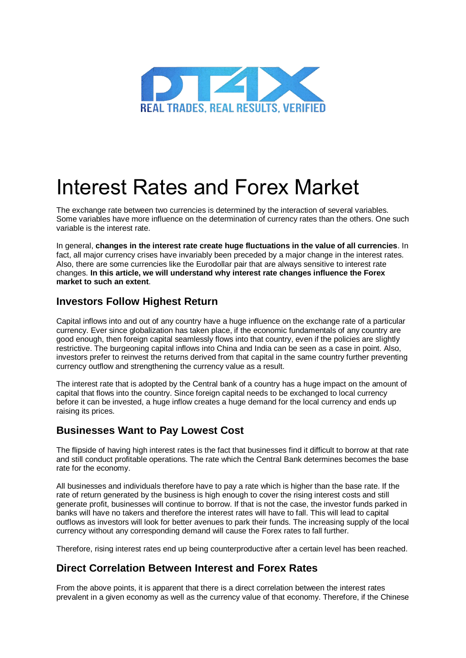

# Interest Rates and Forex Market

The exchange rate between two currencies is determined by the interaction of several variables. Some variables have more influence on the determination of currency rates than the others. One such variable is the interest rate.

In general, **changes in the interest rate create huge fluctuations in the value of all currencies**. In fact, all major currency crises have invariably been preceded by a major change in the interest rates. Also, there are some currencies like the Eurodollar pair that are always sensitive to interest rate changes. **In this article, we will understand why interest rate changes influence the Forex market to such an extent**.

#### **Investors Follow Highest Return**

Capital inflows into and out of any country have a huge influence on the exchange rate of a particular currency. Ever since globalization has taken place, if the economic fundamentals of any country are good enough, then foreign capital seamlessly flows into that country, even if the policies are slightly restrictive. The burgeoning capital inflows into China and India can be seen as a case in point. Also, investors prefer to reinvest the returns derived from that capital in the same country further preventing currency outflow and strengthening the currency value as a result.

The interest rate that is adopted by the Central bank of a country has a huge impact on the amount of capital that flows into the country. Since foreign capital needs to be exchanged to local currency before it can be invested, a huge inflow creates a huge demand for the local currency and ends up raising its prices.

## **Businesses Want to Pay Lowest Cost**

The flipside of having high interest rates is the fact that businesses find it difficult to borrow at that rate and still conduct profitable operations. The rate which the Central Bank determines becomes the base rate for the economy.

All businesses and individuals therefore have to pay a rate which is higher than the base rate. If the rate of return generated by the business is high enough to cover the rising interest costs and still generate profit, businesses will continue to borrow. If that is not the case, the investor funds parked in banks will have no takers and therefore the interest rates will have to fall. This will lead to capital outflows as investors will look for better avenues to park their funds. The increasing supply of the local currency without any corresponding demand will cause the Forex rates to fall further.

Therefore, rising interest rates end up being counterproductive after a certain level has been reached.

## **Direct Correlation Between Interest and Forex Rates**

From the above points, it is apparent that there is a direct correlation between the interest rates prevalent in a given economy as well as the currency value of that economy. Therefore, if the Chinese